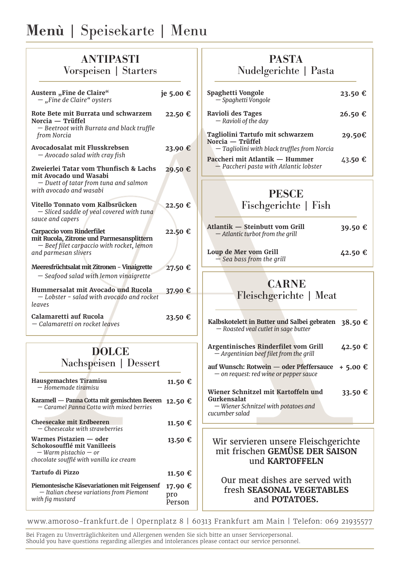# Menù | Speisekarte | Menu

## ANTIPASTI Vorspeisen | Starters

| Austern "Fine de Claire"<br>$-$ "Fine de Claire" oysters                                                                                    | je 5.00 € |
|---------------------------------------------------------------------------------------------------------------------------------------------|-----------|
| Rote Bete mit Burrata und schwarzem<br>Norcia — Trüffel<br>- Beetroot with Burrata and black truffle<br>from Norcia                         | 22.50 €   |
| Avocadosalat mit Flusskrebsen<br>- Avocado salad with cray fish                                                                             | 23.90 €   |
| Zweierlei Tatar vom Thunfisch & Lachs<br>mit Avocado und Wasabi<br>- Duett of tatar from tuna and salmon<br>with avocado and wasabi         | 29.50 €   |
| Vitello Tonnato vom Kalbsrücken<br>- Sliced saddle of yeal covered with tuna<br>sauce and capers                                            | 22.50 €   |
| Carpaccio vom Rinderfilet<br>mit Rucola, Zitrone und Parmesansplittern<br>- Beef filet carpaccio with rocket, lemon<br>and parmesan slivers | 22.50 €   |
| Meeresfrüchtsalat mit Zitronen - Vinaigrette<br>- Seafood salad with lemon vinaigrette                                                      | 27.50 €   |
| Hummersalat mit Avocado und Rucola<br>- Lobster - salad with avocado and rocket<br>leaves                                                   | 37.90 €   |
| Calamaretti auf Rucola<br>– Calamaretti on rocket leaves                                                                                    | 23.50 €   |

## DOLCE Nachspeisen | Dessert

| Hausgemachtes Tiramisu<br>– Homemade tiramisu                                                                                    | 11.50 €                  |
|----------------------------------------------------------------------------------------------------------------------------------|--------------------------|
| Karamell — Panna Cotta mit gemischten Beeren<br>- Caramel Panna Cotta with mixed berries                                         | 12.50 €                  |
| <b>Cheesecake mit Erdbeeren</b><br>— Cheesecake with strawberries                                                                | 11.50 €                  |
| Warmes Pistazien — oder<br>Schokosoufflé mit Vanilleeis<br>$-$ Warm pistachio $-$ or<br>chocolate soufflé with vanilla ice cream | 13.50 €                  |
| Tartufo di Pizzo                                                                                                                 | 11.50 €                  |
| Piemontesische Käsevariationen mit Feigensenf<br>- Italian cheese variations from Piemont<br>with fig mustard                    | 17.90 €<br>pro<br>Person |

## PASTA Nudelgerichte | Pasta

| Spaghetti Vongole<br>- Spaghetti Vongole                                                             | $23.50 \text{ }€$ |
|------------------------------------------------------------------------------------------------------|-------------------|
| Ravioli des Tages<br>$-$ Ravioli of the day                                                          | 26.50 €           |
| Tagliolini Tartufo mit schwarzem<br>Norcia — Trüffel<br>- Tagliolini with black truffles from Norcia | 29.50€            |
| Paccheri mit Atlantik — Hummer<br>$-$ Paccheri pasta with Atlantic lobster                           | 43.50 €           |

### PESCE

Fischgerichte | Fish

| Atlantik — Steinbutt vom Grill   | 39.50 € |
|----------------------------------|---------|
| - Atlantic turbot from the grill |         |
|                                  |         |

**Loup de Mer vom Grill** *— Sea bass from the grill* **42.50 €**

# **CARNE**

Fleischgerichte | Meat

| Kalbskotelett in Butter und Salbei gebraten 38.50 €<br>- Roasted veal cutlet in sage butter                  |          |
|--------------------------------------------------------------------------------------------------------------|----------|
| Argentinisches Rinderfilet vom Grill<br>$-$ Argentinian beef filet from the grill                            | 42.50 €  |
| auf Wunsch: Rotwein — oder Pfeffersauce<br>- on request: red wine or pepper sauce                            | + 5.00 € |
| Wiener Schnitzel mit Kartoffeln und<br>Gurkensalat<br>- Wiener Schnitzel with potatoes and<br>cucumber salad | 33.50 €  |
|                                                                                                              |          |
| Wir servieren unsere Fleischøerichte                                                                         |          |

#### Wir servieren unsere Fleischgerichte mit frischen **GEMÜSE DER SAISON** und **KARTOFFELN**

### Our meat dishes are served with fresh **SEASONAL VEGETABLES** and **POTATOES.**

www.amoroso-frankfurt.de | Opernplatz 8 | 60313 Frankfurt am Main | Telefon: 069 21935577

Bei Fragen zu Unverträglichkeiten und Allergenen wenden Sie sich bitte an unser Servicepersonal. Should you have questions regarding allergies and intolerances please contact our service personnel.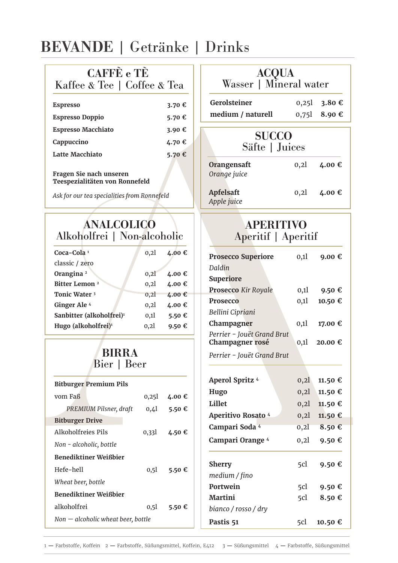# BEVANDE | Getränke | Drinks

| <b>CAFFE</b> e TE                                         |              |        |                                         |                                          |       |         |  |
|-----------------------------------------------------------|--------------|--------|-----------------------------------------|------------------------------------------|-------|---------|--|
| Kaffee & Tee   Coffee & Tea                               |              |        |                                         | ACQUA<br>Wasser   Mineral water          |       |         |  |
| <b>Espresso</b>                                           |              | 3.70 € |                                         | Gerolsteiner                             | 0,25  | 3.80€   |  |
| <b>Espresso Doppio</b>                                    |              | 5.70€  |                                         | medium / naturell                        | 0,751 | 8.90€   |  |
| <b>Espresso Macchiato</b>                                 |              | 3.90€  |                                         |                                          |       |         |  |
| Cappuccino                                                |              | 4.70€  |                                         | <b>SUCCO</b>                             |       |         |  |
| <b>Latte Macchiato</b>                                    |              | 5.70€  |                                         | Säfte   Juices                           |       |         |  |
| Fragen Sie nach unseren<br>Teespezialitäten von Ronnefeld |              |        |                                         | Orangensaft<br>Orange juice              | 0, 2l | 4.00€   |  |
| Ask for our tea specialities from Ronnefeld               |              |        |                                         | Apfelsaft<br>Apple juice                 | 0, 2l | 4.00 €  |  |
| <b>ANALCOLICO</b><br>Alkoholfrei   Non-alcoholic          |              |        | <b>APERITIVO</b><br>Aperitif   Aperitif |                                          |       |         |  |
| Coca-Cola <sup>1</sup>                                    | 0,21         | 4.00 € |                                         |                                          |       |         |  |
| classic / zero                                            |              |        |                                         | <b>Prosecco Superiore</b>                | 0,1   | 9.00 €  |  |
| Orangina <sup>2</sup>                                     | 0,21         | 4.00€  |                                         | Daldin                                   |       |         |  |
| Bitter Lemon <sup>2</sup>                                 | 0,21         | 4.00€  |                                         | <b>Superiore</b>                         |       |         |  |
| Tonic Water <sup>3</sup>                                  | 0,21         | 4.00 € |                                         | <b>Prosecco Kir Royale</b>               | 0,1   | 9.50 €  |  |
| Ginger Ale <sup>4</sup>                                   | 0,21         | 4.00€  |                                         | Prosecco                                 | 0,11  | 10.50 € |  |
| Sanbitter (alkoholfrei) <sup>1</sup>                      | 0,11         | 5.50€  |                                         | Bellini Cipriani                         |       |         |  |
| Hugo (alkoholfrei) <sup>1</sup>                           | 0,21         | 9.50€  |                                         | Champagner<br>Perrier - Jouët Grand Brut | 0,1   | 17.00 € |  |
|                                                           |              |        |                                         | Champagner rosé                          | 0,1   | 20.00 € |  |
|                                                           | <b>BIRRA</b> |        |                                         | Perrier - Jouët Grand Brut               |       |         |  |
| Bier   Beer                                               |              |        |                                         |                                          |       |         |  |
| <b>Bitburger Premium Pils</b>                             |              |        |                                         | Aperol Spritz 4                          | 0, 2l | 11.50 € |  |
| vom Faß                                                   |              | 4.00€  |                                         | Hugo                                     | 0,21  | 11.50 € |  |
|                                                           | 0,251        |        |                                         | Lillet                                   | 0, 2l | 11.50 € |  |
| PREMIUM Pilsner, draft                                    | 0,41         | 5.50€  |                                         | Aperitivo Rosato 4                       | 0, 2l | 11.50 € |  |
| <b>Bitburger Drive</b>                                    |              |        |                                         | Campari Soda <sup>4</sup>                | 0, 21 | 8.50€   |  |
| Alkoholfreies Pils                                        | 0,331        | 4.50€  |                                         | Campari Orange 4                         | 0,21  | 9.50€   |  |
| Non - alcoholic, bottle                                   |              |        |                                         |                                          |       |         |  |
| Benediktiner Weißbier                                     |              |        |                                         | <b>Sherry</b>                            | 5cl   | 9.50€   |  |
| Hefe-hell                                                 | 0,51         | 5.50€  |                                         | medium / fino                            |       |         |  |
| Wheat beer, bottle                                        |              |        |                                         | Portwein                                 | 5cl   | 9.50 €  |  |
| Benediktiner Weißbier                                     |              |        |                                         | <b>Martini</b>                           | 5cl   | 8.50€   |  |
| alkoholfrei                                               | $_{0,51}$    | 5.50€  |                                         | bianco / rosso / dry                     |       |         |  |
| $Non - alcoholic wheat beer, bottle$                      |              |        |                                         | Pastis 51                                | 5cl   | 10.50€  |  |